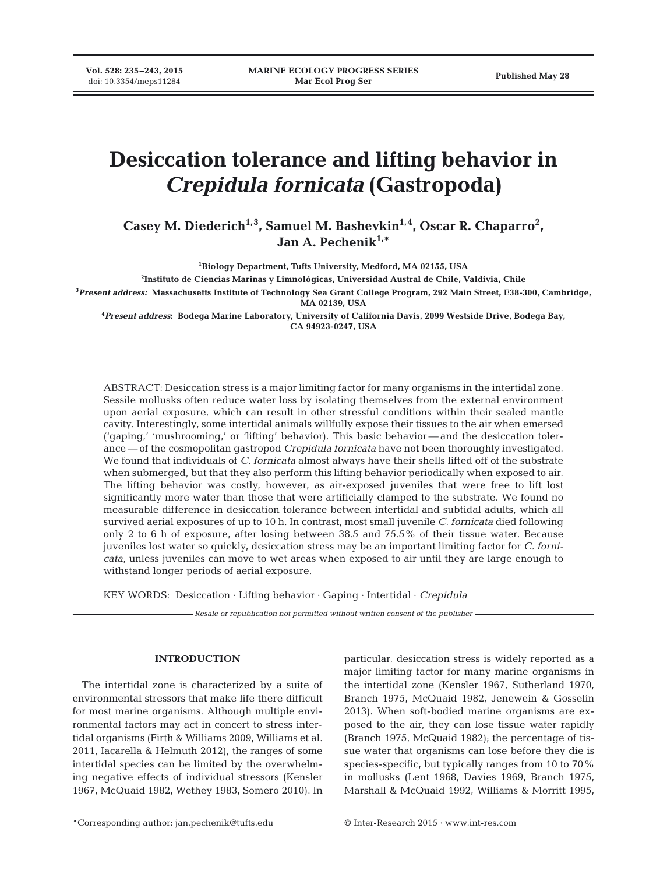**Vol. 528: 235–243, 2015**

# **Desiccation tolerance and lifting behavior in** *Crepidula fornicata* **(Gastropoda)**

Casey M. Diederich<sup>1,3</sup>, Samuel M. Bashevkin<sup>1,4</sup>, Oscar R. Chaparro<sup>2</sup>, **Jan A. Pechenik1,\***

**1 Biology Department, Tufts University, Medford, MA 02155, USA**

**2 Instituto de Ciencias Marinas y Limnológicas, Universidad Austral de Chile, Valdivia, Chile**

**3** *Present address:* **Massachusetts Institute of Technology Sea Grant College Program, 292 Main Street, E38-300, Cambridge, MA 02139, USA**

**4** *Present address***: Bodega Marine Laboratory, University of California Davis, 2099 Westside Drive, Bodega Bay, CA 94923-0247, USA**

ABSTRACT: Desiccation stress is a major limiting factor for many organisms in the intertidal zone. Sessile mollusks often reduce water loss by isolating themselves from the external environment upon aerial exposure, which can result in other stressful conditions within their sealed mantle cavity. Interestingly, some intertidal animals willfully expose their tissues to the air when emersed ('gaping,' 'mushrooming,' or 'lifting' behavior). This basic behavior — and the desiccation tolerance — of the cosmopolitan gastropod *Crepidula fornicata* have not been thoroughly investigated. We found that individuals of *C. fornicata* almost always have their shells lifted off of the substrate when submerged, but that they also perform this lifting behavior periodically when exposed to air. The lifting behavior was costly, however, as air-exposed juveniles that were free to lift lost significantly more water than those that were artificially clamped to the substrate. We found no measurable difference in desiccation tolerance between intertidal and subtidal adults, which all survived aerial exposures of up to 10 h. In contrast, most small juvenile *C. fornicata* died following only 2 to 6 h of exposure, after losing between 38.5 and 75.5% of their tissue water. Because juveniles lost water so quickly, desiccation stress may be an important limiting factor for *C. fornicata*, unless juveniles can move to wet areas when exposed to air until they are large enough to withstand longer periods of aerial exposure.

KEY WORDS: Desiccation · Lifting behavior · Gaping · Intertidal · *Crepidula*

*Resale or republication not permitted without written consent of the publisher*

## **INTRODUCTION**

The intertidal zone is characterized by a suite of environmental stressors that make life there difficult for most marine organisms. Although multiple environmental factors may act in concert to stress intertidal organisms (Firth & Williams 2009, Williams et al. 2011, Iacarella & Helmuth 2012), the ranges of some intertidal species can be limited by the overwhelming negative effects of individual stressors (Kensler 1967, McQuaid 1982, Wethey 1983, Somero 2010). In particular, desiccation stress is widely reported as a major limiting factor for many marine organisms in the intertidal zone (Kensler 1967, Sutherland 1970, Branch 1975, McQuaid 1982, Jenewein & Gosselin 2013). When soft-bodied marine organisms are exposed to the air, they can lose tissue water rapidly (Branch 1975, McQuaid 1982); the percentage of tissue water that organisms can lose before they die is species-specific, but typically ranges from 10 to 70% in mollusks (Lent 1968, Davies 1969, Branch 1975, Marshall & McQuaid 1992, Williams & Morritt 1995,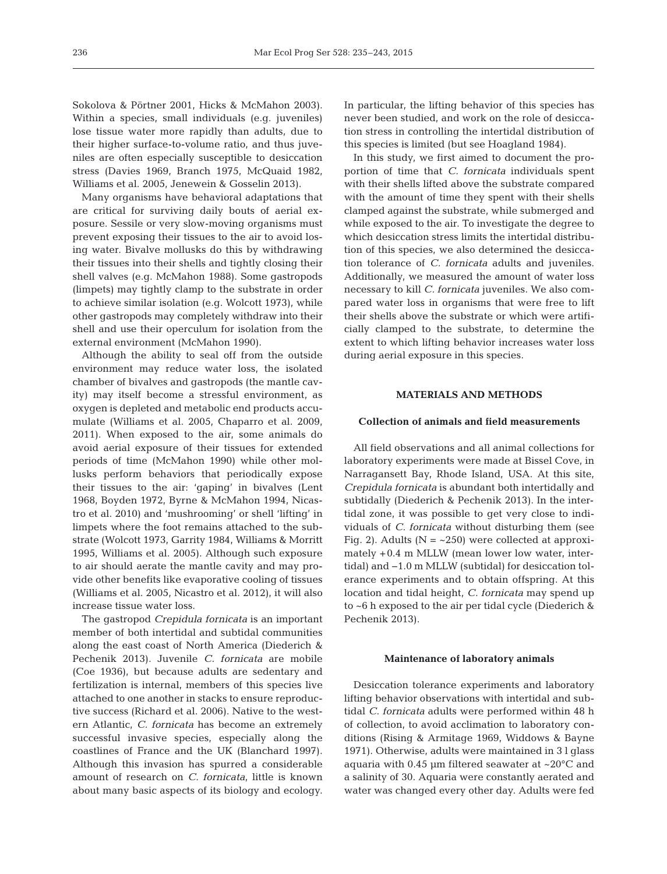Sokolova & Pörtner 2001, Hicks & McMahon 2003). Within a species, small individuals (e.g. juveniles) lose tissue water more rapidly than adults, due to their higher surface-to-volume ratio, and thus juveniles are often especially susceptible to desiccation stress (Davies 1969, Branch 1975, McQuaid 1982, Williams et al. 2005, Jenewein & Gosselin 2013).

Many organisms have behavioral adaptations that are critical for surviving daily bouts of aerial exposure. Sessile or very slow-moving organisms must prevent exposing their tissues to the air to avoid losing water. Bivalve mollusks do this by withdrawing their tissues into their shells and tightly closing their shell valves (e.g. McMahon 1988). Some gastropods (limpets) may tightly clamp to the substrate in order to achieve similar isolation (e.g. Wolcott 1973), while other gastropods may completely withdraw into their shell and use their operculum for isolation from the external environment (McMahon 1990).

Although the ability to seal off from the outside environment may reduce water loss, the isolated chamber of bivalves and gastropods (the mantle cavity) may itself become a stressful environment, as oxygen is depleted and metabolic end products accumulate (Williams et al. 2005, Chaparro et al. 2009, 2011). When exposed to the air, some animals do avoid aerial exposure of their tissues for extended periods of time (McMahon 1990) while other mollusks perform behaviors that periodically expose their tissues to the air: 'gaping' in bivalves (Lent 1968, Boyden 1972, Byrne & McMahon 1994, Nicastro et al. 2010) and 'mushrooming' or shell 'lifting' in limpets where the foot remains attached to the substrate (Wolcott 1973, Garrity 1984, Williams & Morritt 1995, Williams et al. 2005). Although such exposure to air should aerate the mantle cavity and may provide other benefits like evaporative cooling of tissues (Williams et al. 2005, Nicastro et al. 2012), it will also increase tissue water loss.

The gastropod *Crepidula fornicata* is an important member of both intertidal and subtidal communities along the east coast of North America (Diederich & Pechenik 2013). Juvenile *C. fornicata* are mobile (Coe 1936), but because adults are sedentary and fertilization is internal, members of this species live attached to one another in stacks to ensure reproductive success (Richard et al. 2006). Native to the western Atlantic, *C. fornicata* has become an extremely successful invasive species, especially along the coastlines of France and the UK (Blanchard 1997). Although this invasion has spurred a considerable amount of research on *C. fornicata*, little is known about many basic aspects of its biology and ecology.

In particular, the lifting behavior of this species has never been studied, and work on the role of desiccation stress in controlling the intertidal distribution of this species is limited (but see Hoagland 1984).

In this study, we first aimed to document the proportion of time that *C. fornicata* individuals spent with their shells lifted above the substrate compared with the amount of time they spent with their shells clamped against the substrate, while submerged and while exposed to the air. To investigate the degree to which desiccation stress limits the intertidal distribution of this species, we also determined the desiccation tolerance of *C. fornicata* adults and juveniles. Additionally, we measured the amount of water loss necessary to kill *C. fornicata* juveniles. We also compared water loss in organisms that were free to lift their shells above the substrate or which were artificially clamped to the substrate, to determine the extent to which lifting behavior increases water loss during aerial exposure in this species.

# **MATERIALS AND METHODS**

## **Collection of animals and field measurements**

All field observations and all animal collections for laboratory experiments were made at Bissel Cove, in Narragansett Bay, Rhode Island, USA. At this site, *Crepidula fornicata* is abundant both intertidally and subtidally (Diederich & Pechenik 2013). In the intertidal zone, it was possible to get very close to individuals of *C. fornicata* without disturbing them (see Fig. 2). Adults ( $N = -250$ ) were collected at approximately +0.4 m MLLW (mean lower low water, intertidal) and −1.0 m MLLW (subtidal) for desiccation tolerance experiments and to obtain offspring. At this location and tidal height, *C. fornicata* may spend up to ~6 h exposed to the air per tidal cycle (Diederich & Pechenik 2013).

## **Maintenance of laboratory animals**

Desiccation tolerance experiments and laboratory lifting behavior observations with intertidal and subtidal *C. fornicata* adults were performed within 48 h of collection, to avoid acclimation to laboratory conditions (Rising & Armitage 1969, Widdows & Bayne 1971). Otherwise, adults were maintained in 3 l glass aquaria with 0.45 µm filtered seawater at  $\sim$ 20 $^{\circ}$ C and a salinity of 30. Aquaria were constantly aerated and water was changed every other day. Adults were fed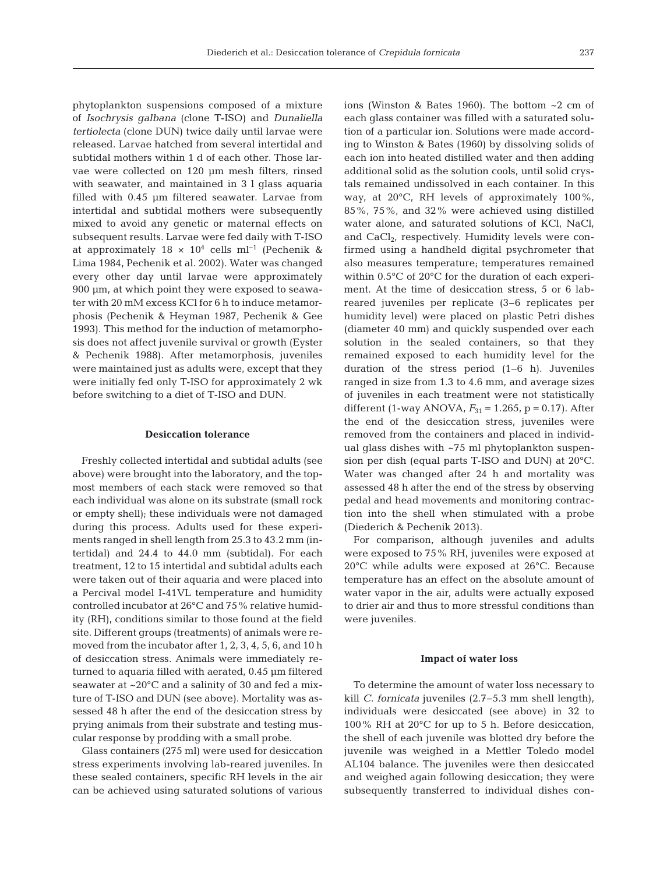phytoplankton suspensions composed of a mixture of *Isochrysis galbana* (clone T-ISO) and *Dunaliella tertiolecta* (clone DUN) twice daily until larvae were released. Larvae hatched from several intertidal and subtidal mothers within 1 d of each other. Those larvae were collected on 120 µm mesh filters, rinsed with seawater, and maintained in 3 l glass aquaria filled with 0.45 µm filtered seawater. Larvae from intertidal and subtidal mothers were subsequently mixed to avoid any genetic or maternal effects on subsequent results. Larvae were fed daily with T-ISO at approximately  $18 \times 10^4$  cells ml<sup>-1</sup> (Pechenik & Lima 1984, Pechenik et al. 2002). Water was changed every other day until larvae were approximately 900 µm, at which point they were exposed to seawater with 20 mM excess KCl for 6 h to induce metamorphosis (Pechenik & Heyman 1987, Pechenik & Gee 1993). This method for the induction of metamorphosis does not affect juvenile survival or growth (Eyster & Pechenik 1988). After metamorphosis, juveniles were maintained just as adults were, except that they were initially fed only T-ISO for approximately 2 wk before switching to a diet of T-ISO and DUN.

## **Desiccation tolerance**

Freshly collected intertidal and subtidal adults (see above) were brought into the laboratory, and the topmost members of each stack were removed so that each individual was alone on its substrate (small rock or empty shell); these individuals were not damaged during this process. Adults used for these experiments ranged in shell length from 25.3 to 43.2 mm (intertidal) and 24.4 to 44.0 mm (subtidal). For each treatment, 12 to 15 intertidal and subtidal adults each were taken out of their aquaria and were placed into a Percival model I-41VL temperature and humidity controlled incubator at 26°C and 75% relative humidity (RH), conditions similar to those found at the field site. Different groups (treatments) of animals were removed from the incubator after 1, 2, 3, 4, 5, 6, and 10 h of desiccation stress. Animals were immediately returned to aquaria filled with aerated, 0.45 µm filtered seawater at ~20°C and a salinity of 30 and fed a mixture of T-ISO and DUN (see above). Mortality was assessed 48 h after the end of the desiccation stress by prying animals from their substrate and testing muscular response by prodding with a small probe.

Glass containers (275 ml) were used for desiccation stress experiments involving lab-reared juveniles. In these sealed containers, specific RH levels in the air can be achieved using saturated solutions of various ions (Winston & Bates 1960). The bottom ~2 cm of each glass container was filled with a saturated solution of a particular ion. Solutions were made according to Winston & Bates (1960) by dissolving solids of each ion into heated distilled water and then adding additional solid as the solution cools, until solid crystals remained undissolved in each container. In this way, at 20°C, RH levels of approximately 100%, 85%, 75%, and 32% were achieved using distilled water alone, and saturated solutions of KCl, NaCl, and  $CaCl<sub>2</sub>$ , respectively. Humidity levels were confirmed using a handheld digital psychrometer that also measures temperature; temperatures remained within 0.5°C of 20°C for the duration of each experiment. At the time of desiccation stress, 5 or 6 labreared juveniles per replicate (3−6 replicates per humidity level) were placed on plastic Petri dishes (diameter 40 mm) and quickly suspended over each solution in the sealed containers, so that they remained exposed to each humidity level for the duration of the stress period (1−6 h). Juveniles ranged in size from 1.3 to 4.6 mm, and average sizes of juveniles in each treatment were not statistically different (1-way ANOVA,  $F_{31} = 1.265$ , p = 0.17). After the end of the desiccation stress, juveniles were removed from the containers and placed in individual glass dishes with ~75 ml phytoplankton suspension per dish (equal parts T-ISO and DUN) at 20°C. Water was changed after 24 h and mortality was assessed 48 h after the end of the stress by observing pedal and head movements and monitoring contraction into the shell when stimulated with a probe (Diederich & Pechenik 2013).

For comparison, although juveniles and adults were exposed to 75% RH, juveniles were exposed at 20°C while adults were exposed at 26°C. Because temperature has an effect on the absolute amount of water vapor in the air, adults were actually exposed to drier air and thus to more stressful conditions than were juveniles.

#### **Impact of water loss**

To determine the amount of water loss necessary to kill *C. fornicata* juveniles (2.7−5.3 mm shell length), individuals were desiccated (see above) in 32 to 100% RH at 20°C for up to 5 h. Before desiccation, the shell of each juvenile was blotted dry before the juvenile was weighed in a Mettler Toledo model AL104 balance. The juveniles were then desiccated and weighed again following desiccation; they were subsequently transferred to individual dishes con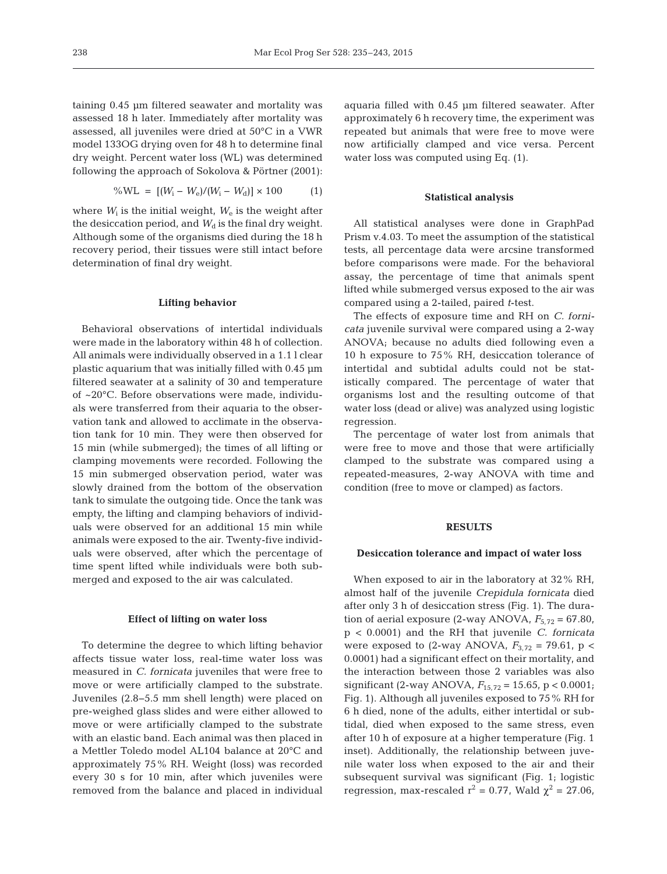taining 0.45 µm filtered seawater and mortality was assessed 18 h later. Immediately after mortality was assessed, all juveniles were dried at 50°C in a VWR model 133OG drying oven for 48 h to determine final dry weight. Percent water loss (WL) was determined following the approach of Sokolova & Pörtner (2001):

$$
\% WL = [(W_i - W_e)/(W_i - W_d)] \times 100 \tag{1}
$$

where  $W_i$  is the initial weight,  $W_e$  is the weight after the desiccation period, and  $W_d$  is the final dry weight. Although some of the organisms died during the 18 h recovery period, their tissues were still intact before determination of final dry weight.

#### **Lifting behavior**

Behavioral observations of intertidal individuals were made in the laboratory within 48 h of collection. All animals were individually observed in a 1.1 l clear plastic aquarium that was initially filled with 0.45 µm filtered seawater at a salinity of 30 and temperature of ~20°C. Before observations were made, individuals were transferred from their aquaria to the observation tank and allowed to acclimate in the observation tank for 10 min. They were then observed for 15 min (while submerged); the times of all lifting or clamping movements were recorded. Following the 15 min submerged observation period, water was slowly drained from the bottom of the observation tank to simulate the outgoing tide. Once the tank was empty, the lifting and clamping behaviors of individuals were observed for an additional 15 min while animals were exposed to the air. Twenty-five individuals were observed, after which the percentage of time spent lifted while individuals were both submerged and exposed to the air was calculated.

#### **Effect of lifting on water loss**

To determine the degree to which lifting behavior affects tissue water loss, real-time water loss was measured in *C. fornicata* juveniles that were free to move or were artificially clamped to the substrate. Juveniles (2.8−5.5 mm shell length) were placed on pre-weighed glass slides and were either allowed to move or were artificially clamped to the substrate with an elastic band. Each animal was then placed in a Mettler Toledo model AL104 balance at 20°C and approximately 75% RH. Weight (loss) was recorded every 30 s for 10 min, after which juveniles were removed from the balance and placed in individual

aquaria filled with 0.45 µm filtered seawater. After approximately 6 h recovery time, the experiment was repeated but animals that were free to move were now artificially clamped and vice versa. Percent water loss was computed using Eq. (1).

## **Statistical analysis**

All statistical analyses were done in GraphPad Prism v.4.03. To meet the assumption of the statistical tests, all percentage data were arcsine transformed before comparisons were made. For the behavioral assay, the percentage of time that animals spent lifted while submerged versus exposed to the air was compared using a 2-tailed, paired *t*-test.

The effects of exposure time and RH on *C. fornicata* juvenile survival were compared using a 2-way ANOVA; because no adults died following even a 10 h exposure to 75% RH, desiccation tolerance of intertidal and subtidal adults could not be statistically compared. The percentage of water that organisms lost and the resulting outcome of that water loss (dead or alive) was analyzed using logistic regression.

The percentage of water lost from animals that were free to move and those that were artificially clamped to the substrate was compared using a repeated-measures, 2-way ANOVA with time and condition (free to move or clamped) as factors.

## **RESULTS**

#### **Desiccation tolerance and impact of water loss**

When exposed to air in the laboratory at 32% RH, almost half of the juvenile *Crepidula fornicata* died after only 3 h of desiccation stress (Fig. 1). The duration of aerial exposure (2-way ANOVA,  $F_{5,72} = 67.80$ , p < 0.0001) and the RH that juvenile *C. fornicata* were exposed to (2-way ANOVA,  $F_{3,72} = 79.61$ , p < 0.0001) had a significant effect on their mortality, and the interaction between those 2 variables was also significant (2-way ANOVA, *F*15,72 = 15.65, p < 0.0001; Fig. 1). Although all juveniles exposed to 75% RH for 6 h died, none of the adults, either intertidal or subtidal, died when exposed to the same stress, even after 10 h of exposure at a higher temperature (Fig. 1 inset). Additionally, the relationship between juvenile water loss when exposed to the air and their subsequent survival was significant (Fig. 1; logistic regression, max-rescaled  $r^2 = 0.77$ , Wald  $\chi^2 = 27.06$ ,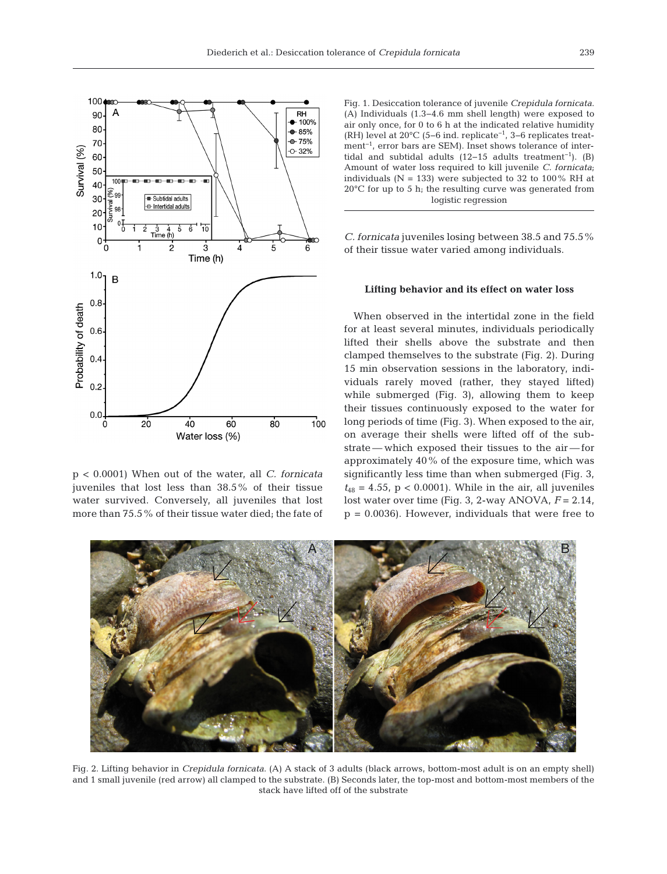

p < 0.0001) When out of the water, all *C. fornicata* juveniles that lost less than 38.5% of their tissue water survived. Conversely, all juveniles that lost more than 75.5% of their tissue water died; the fate of

Fig. 1. Desiccation tolerance of juvenile *Crepidula fornicata*. (A) Individuals (1.3−4.6 mm shell length) were exposed to air only once, for 0 to 6 h at the indicated relative humidity (RH) level at 20°C (5−6 ind. replicate−1, 3−6 replicates treatment<sup>-1</sup>, error bars are SEM). Inset shows tolerance of intertidal and subtidal adults (12−15 adults treatment<sup>-1</sup>). (B) Amount of water loss required to kill juvenile *C. fornicata*; individuals (N = 133) were subjected to 32 to 100% RH at  $20^{\circ}$ C for up to 5 h; the resulting curve was generated from logistic regression

*C. fornicata* juveniles losing between 38.5 and 75.5% of their tissue water varied among individuals.

## **Lifting behavior and its effect on water loss**

When observed in the intertidal zone in the field for at least several minutes, individuals periodically lifted their shells above the substrate and then clamped themselves to the substrate (Fig. 2). During 15 min observation sessions in the laboratory, individuals rarely moved (rather, they stayed lifted) while submerged (Fig. 3), allowing them to keep their tissues continuously exposed to the water for long periods of time (Fig. 3). When exposed to the air, on average their shells were lifted off of the substrate — which exposed their tissues to the air — for approximately 40% of the exposure time, which was significantly less time than when submerged (Fig. 3,  $t_{48} = 4.55$ ,  $p < 0.0001$ ). While in the air, all juveniles lost water over time (Fig. 3, 2-way ANOVA, *F* = 2.14,  $p = 0.0036$ . However, individuals that were free to



Fig. 2. Lifting behavior in *Crepidula fornicata*. (A) A stack of 3 adults (black arrows, bottom-most adult is on an empty shell) and 1 small juvenile (red arrow) all clamped to the substrate. (B) Seconds later, the top-most and bottom-most members of the stack have lifted off of the substrate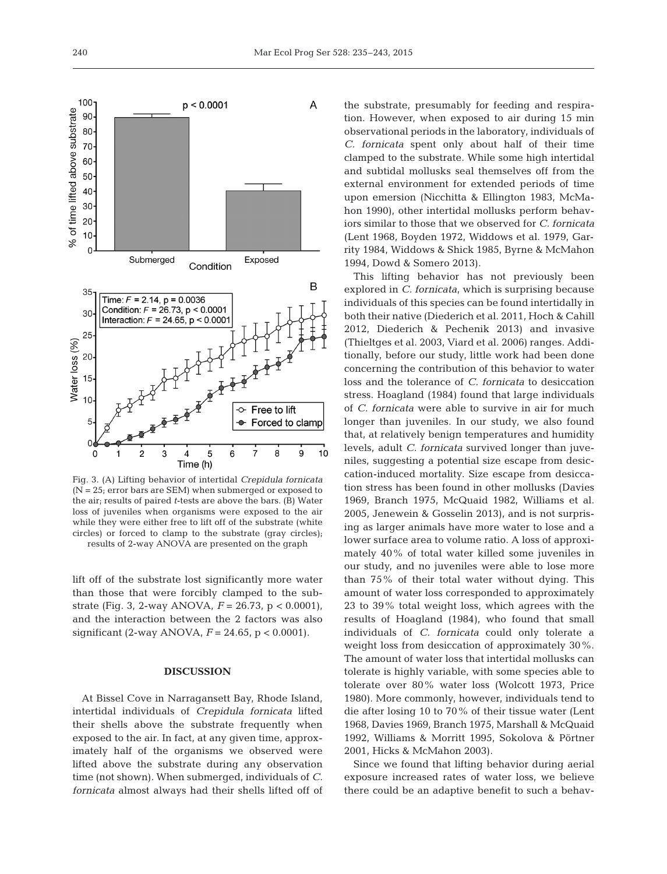

Fig. 3. (A) Lifting behavior of intertidal *Crepidula fornicata* (N = 25; error bars are SEM) when submerged or exposed to the air; results of paired *t*-tests are above the bars. (B) Water loss of juveniles when organisms were exposed to the air while they were either free to lift off of the substrate (white circles) or forced to clamp to the substrate (gray circles); results of 2-way ANOVA are presented on the graph

lift off of the substrate lost significantly more water than those that were forcibly clamped to the substrate (Fig. 3, 2-way ANOVA, *F* = 26.73, p < 0.0001), and the interaction between the 2 factors was also significant (2-way ANOVA, *F* = 24.65, p < 0.0001).

## **DISCUSSION**

At Bissel Cove in Narragansett Bay, Rhode Island, intertidal individuals of *Crepidula fornicata* lifted their shells above the substrate frequently when exposed to the air. In fact, at any given time, approximately half of the organisms we observed were lifted above the substrate during any observation time (not shown). When submerged, individuals of *C. fornicata* almost always had their shells lifted off of the substrate, presumably for feeding and respiration. However, when exposed to air during 15 min observational periods in the laboratory, individuals of *C. fornicata* spent only about half of their time clamped to the substrate. While some high intertidal and subtidal mollusks seal themselves off from the external environment for extended periods of time upon emersion (Nicchitta & Ellington 1983, McMahon 1990), other intertidal mollusks perform behaviors similar to those that we observed for *C. fornicata* (Lent 1968, Boyden 1972, Widdows et al. 1979, Garrity 1984, Widdows & Shick 1985, Byrne & McMahon 1994, Dowd & Somero 2013).

This lifting behavior has not previously been explored in *C. fornicata*, which is surprising because individuals of this species can be found intertidally in both their native (Diederich et al. 2011, Hoch & Cahill 2012, Diederich & Pechenik 2013) and invasive (Thieltges et al. 2003, Viard et al. 2006) ranges. Additionally, before our study, little work had been done concerning the contribution of this behavior to water loss and the tolerance of *C. fornicata* to desiccation stress. Hoagland (1984) found that large individuals of *C. fornicata* were able to survive in air for much longer than juveniles. In our study, we also found that, at relatively benign temperatures and humidity levels, adult *C. fornicata* survived longer than juveniles, suggesting a potential size escape from desiccation-induced mortality. Size escape from desiccation stress has been found in other mollusks (Davies 1969, Branch 1975, McQuaid 1982, Williams et al. 2005, Jenewein & Gosselin 2013), and is not surprising as larger animals have more water to lose and a lower surface area to volume ratio. A loss of approximately 40% of total water killed some juveniles in our study, and no juveniles were able to lose more than 75% of their total water without dying. This amount of water loss corresponded to approximately 23 to 39% total weight loss, which agrees with the results of Hoagland (1984), who found that small individuals of *C. fornicata* could only tolerate a weight loss from desiccation of approximately 30%. The amount of water loss that intertidal mollusks can tolerate is highly variable, with some species able to tolerate over 80% water loss (Wolcott 1973, Price 1980). More commonly, however, individuals tend to die after losing 10 to 70% of their tissue water (Lent 1968, Davies 1969, Branch 1975, Marshall & McQuaid 1992, Williams & Morritt 1995, Sokolova & Pörtner 2001, Hicks & McMahon 2003).

Since we found that lifting behavior during aerial exposure increased rates of water loss, we believe there could be an adaptive benefit to such a behav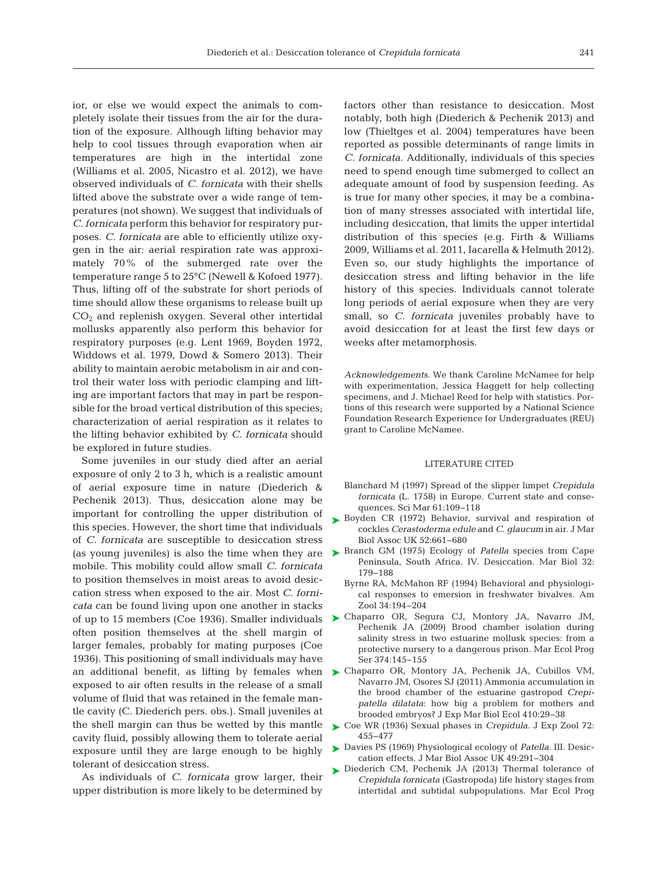ior, or else we would expect the animals to completely isolate their tissues from the air for the duration of the exposure. Although lifting behavior may help to cool tissues through evaporation when air temperatures are high in the intertidal zone (Williams et al. 2005, Nicastro et al. 2012), we have observed individuals of *C. fornicata* with their shells lifted above the substrate over a wide range of temperatures (not shown). We suggest that individuals of *C. fornicata* perform this behavior for respiratory purposes. *C. fornicata* are able to efficiently utilize oxygen in the air: aerial respiration rate was approximately 70% of the submerged rate over the temperature range 5 to 25°C (Newell & Kofoed 1977). Thus, lifting off of the substrate for short periods of time should allow these organisms to release built up CO2 and replenish oxygen. Several other intertidal mollusks apparently also perform this behavior for respiratory purposes (e.g. Lent 1969, Boyden 1972, Widdows et al. 1979, Dowd & Somero 2013). Their ability to maintain aerobic metabolism in air and control their water loss with periodic clamping and lifting are important factors that may in part be responsible for the broad vertical distribution of this species; characterization of aerial respiration as it relates to the lifting behavior exhibited by *C. fornicata* should be explored in future studies.

Some juveniles in our study died after an aerial exposure of only 2 to 3 h, which is a realistic amount of aerial exposure time in nature (Diederich & Pechenik 2013). Thus, desiccation alone may be important for controlling the upper distribution of this species. However, the short time that individuals of *C. fornicata* are susceptible to desiccation stress mobile. This mobility could allow small *C. fornicata* to position themselves in moist areas to avoid desiccation stress when exposed to the air. Most *C. fornicata* can be found living upon one another in stacks of up to 15 members (Coe 1936). Smaller individuals often position themselves at the shell margin of larger females, probably for mating purposes (Coe 1936). This positioning of small individuals may have exposed to air often results in the release of a small volume of fluid that was retained in the female mantle cavity (C. Diederich pers. obs.). Small juveniles at the shell margin can thus be wetted by this mantle cavity fluid, possibly allowing them to tolerate aerial exposure until they are large enough to be highly tolerant of desiccation stress.

As individuals of *C. fornicata* grow larger, their upper distribution is more likely to be determined by

factors other than resistance to desiccation. Most notably, both high (Diederich & Pechenik 2013) and low (Thieltges et al. 2004) temperatures have been reported as possible determinants of range limits in *C. fornicata*. Additionally, individuals of this species need to spend enough time submerged to collect an adequate amount of food by suspension feeding. As is true for many other species, it may be a combination of many stresses associated with intertidal life, including desiccation, that limits the upper intertidal distribution of this species (e.g. Firth & Williams 2009, Williams et al. 2011, Iacarella & Helmuth 2012). Even so, our study highlights the importance of desiccation stress and lifting behavior in the life history of this species. Individuals cannot tolerate long periods of aerial exposure when they are very small, so *C. fornicata* juveniles probably have to avoid desiccation for at least the first few days or weeks after metamorphosis.

*Acknowledgements*. We thank Caroline McNamee for help with experimentation, Jessica Haggett for help collecting specimens, and J. Michael Reed for help with statistics. Portions of this research were supported by a National Science Foundation Research Experience for Undergraduates (REU) grant to Caroline McNamee.

#### LITERATURE CITED

- Blanchard M (1997) Spread of the slipper limpet *Crepidula fornicata* (L. 1758) in Europe. Current state and consequences. Sci Mar 61:109-118
- ▶ [Boyden CR \(1972\) Behavior, survival and respiration of](http://dx.doi.org/10.1017/S0025315400021640) cockles *Cerastoderma edule* and *C. glaucum* in air. J Mar Biol Assoc UK 52:661-680
- (as young juveniles) is also the time when they are ► [Branch GM \(1975\) Ecology of](http://dx.doi.org/10.1007/BF00388510) *Patella* species from Cape Peninsula, South Africa. IV. Desiccation. Mar Biol 32: 179−188
	- Byrne RA, McMahon RF (1994) Behavioral and physiological responses to emersion in freshwater bivalves. Am Zool 34: 194−204
	- [Chaparro OR, Segura CJ, Montory JA, Navarro JM,](http://dx.doi.org/10.3354/meps07777) ➤ Pechenik JA (2009) Brood chamber isolation during salinity stress in two estuarine mollusk species: from a protective nursery to a dangerous prison. Mar Ecol Prog Ser 374: 145−155
- an additional benefit, as lifting by females when > [Chaparro OR, Montory JA, Pechenik JA, Cubillos VM,](http://dx.doi.org/10.1016/j.jembe.2011.10.009) Navarro JM, Osores SJ (2011) Ammonia accumulation in the brood chamber of the estuarine gastropod *Crepi*patella dilatata: how big a problem for mothers and brooded embryos? J Exp Mar Biol Ecol 410: 29−38
	- ► [Coe WR \(1936\) Sexual phases in](http://dx.doi.org/10.1002/jez.1400720306) *Crepidula*. J Exp Zool 72: 455−477
	- [Davies PS \(1969\) Physiological ecology of](http://dx.doi.org/10.1017/S0025315400035918) *Patella*. III. Desic-➤ cation effects. J Mar Biol Assoc UK 49:291-304
	- ▶ [Diederich CM, Pechenik JA \(2013\) Thermal tolerance of](http://dx.doi.org/10.3354/meps10355) *Crepidula fornicata* (Gastropoda) life history stages from intertidal and subtidal subpopulations. Mar Ecol Prog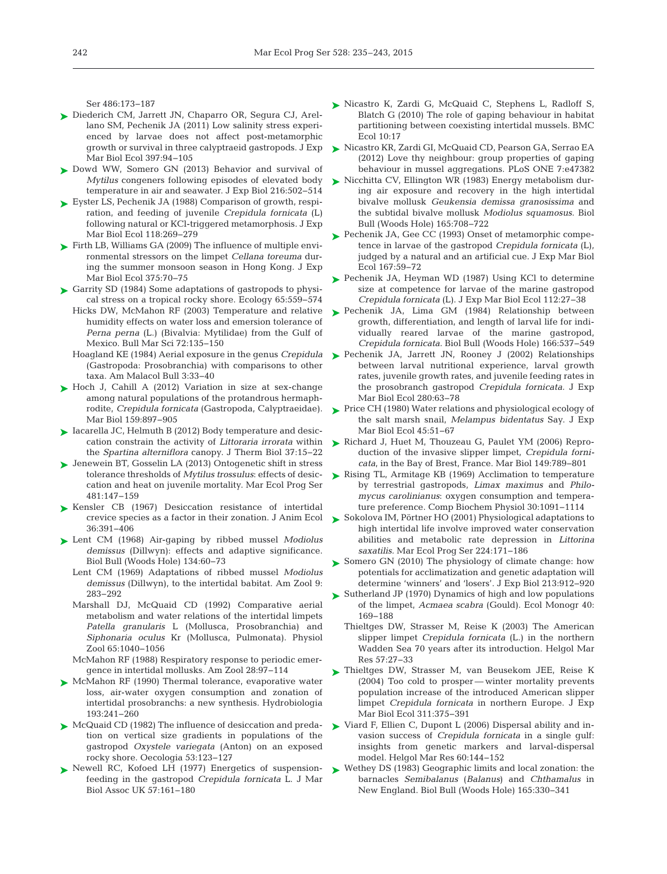Ser 486:173-187

- ► [Diederich CM, Jarrett JN, Chaparro OR, Segura CJ, Arel](http://dx.doi.org/10.1016/j.jembe.2010.11.019)lano SM, Pechenik JA (2011) Low salinity stress experienced by larvae does not affect post-metamorphic growth or survival in three calyptraeid gastropods. J Exp Mar Biol Ecol 397:94-105
- ▶ [Dowd WW, Somero GN \(2013\) Behavior and survival of](http://dx.doi.org/10.1242/jeb.076620) *Mytilus* congeners following episodes of elevated body temperature in air and seawater. J Exp Biol 216:502–514
- ► [Eyster LS, Pechenik JA \(1988\) Comparison of growth, respi](http://dx.doi.org/10.1016/0022-0981(88)90078-0)ration, and feeding of juvenile *Crepidula fornicata* (L) following natural or KCl-triggered metamorphosis. J Exp Mar Biol Ecol 118:269-279
- [Firth LB, Williams GA \(2009\) The influence of multiple envi-](http://dx.doi.org/10.1016/j.jembe.2009.05.011)➤ ronmental stressors on the limpet *Cellana toreuma* during the summer monsoon season in Hong Kong. J Exp Mar Biol Ecol 375:70-75
- ► [Garrity SD \(1984\) Some adaptations of gastropods to physi](http://dx.doi.org/10.2307/1941418)cal stress on a tropical rocky shore. Ecology 65:559-574
	- Hicks DW, McMahon RF (2003) Temperature and relative humidity effects on water loss and emersion tolerance of Perna perna (L.) (Bivalvia: Mytilidae) from the Gulf of Mexico. Bull Mar Sci 72: 135−150
	- Hoagland KE (1984) Aerial exposure in the genus *Crepidula* (Gastropoda: Prosobranchia) with comparisons to other taxa. Am Malacol Bull 3: 33−40
- ► [Hoch J, Cahill A \(2012\) Variation in size at sex-change](http://dx.doi.org/10.1007/s00227-011-1867-4) among natural populations of the protandrous hermaphrodite, *Crepidula fornicata* (Gastropoda, Calyptraeidae). Mar Biol 159:897-905
- ► [Iacarella JC, Helmuth B \(2012\) Body temperature and desic](http://dx.doi.org/10.1016/j.jtherbio.2011.10.003)cation constrain the activity of *Littoraria irrorata* within the *Spartina alterniflora* canopy. J Therm Biol 37:15−22
- ▶ [Jenewein BT, Gosselin LA \(2013\) Ontogenetic shift in stress](http://dx.doi.org/10.3354/meps10221) tolerance thresholds of *Mytilus trossulus*: effects of desiccation and heat on juvenile mortality. Mar Ecol Prog Ser 481: 147−159
- [Kensler CB \(1967\) Desiccation resistance of intertidal](http://dx.doi.org/10.2307/2921) ➤ crevice species as a factor in their zonation. J Anim Ecol 36: 391−406
- [Lent CM \(1968\) Air-gaping by ribbed mussel](http://dx.doi.org/10.2307/1539967) *Modiolus* ➤ demissus (Dillwyn): effects and adaptive significance. Biol Bull (Woods Hole) 134:60-73
	- Lent CM (1969) Adaptations of ribbed mussel *Modiolus demissus* (Dillwyn), to the intertidal babitat. Am Zool 9: 283−292
	- Marshall DJ, McQuaid CD (1992) Comparative aerial metabolism and water relations of the intertidal limpets *Patella granularis* L (Mollusca, Prosobranchia) and *Siphonaria oculus* Kr (Mollusca, Pulmonata). Physiol Zool 65: 1040−1056
	- McMahon RF (1988) Respiratory response to periodic emergence in intertidal mollusks. Am Zool 28:97-114
- ► [McMahon RF \(1990\) Thermal tolerance, evaporative water](http://dx.doi.org/10.1007/BF00028081) loss, air-water oxygen consumption and zonation of intertidal prosobranchs: a new synthesis. Hydrobiologia 193: 241−260
- ▶ [McQuaid CD \(1982\) The influence of desiccation and preda](http://dx.doi.org/10.1007/BF00377146)tion on vertical size gradients in populations of the gastro pod *Oxystele variegata* (Anton) on an exposed rocky shore. Oecologia 53: 123−127
- ▶ [Newell RC, Kofoed LH \(1977\) Energetics of suspension](http://dx.doi.org/10.1017/S0025315400021317)feeding in the gastropod *Crepidula fornicata* L. J Mar Biol Assoc UK 57: 161−180
- ▶ [Nicastro K, Zardi G, McQuaid C, Stephens L, Radloff S,](http://dx.doi.org/10.1186/1472-6785-10-17) Blatch G (2010) The role of gaping behaviour in habitat partitioning between coexisting intertidal mussels. BMC Ecol 10:17
- ▶ [Nicastro KR, Zardi GI, McQuaid CD, Pearson GA, Serrao EA](http://dx.doi.org/10.1371/journal.pone.0047382) (2012) Love thy neighbour: group properties of gaping behaviour in mussel aggregations. PLoS ONE 7:e47382
- ► [Nicchitta CV, Ellington WR \(1983\) Energy metabolism dur](http://dx.doi.org/10.2307/1541473)ing air exposure and recovery in the high intertidal bivalve mollusk *Geukensia demissa granosissima* and the subtidal bivalve mollusk *Modiolus squamosus.* Biol Bull (Woods Hole) 165:708-722
- ► [Pechenik JA, Gee CC \(1993\) Onset of metamorphic compe](http://dx.doi.org/10.1016/0022-0981(93)90184-P)tence in larvae of the gastropod *Crepidula fornicata* (L), judged by a natural and an artificial cue. J Exp Mar Biol Ecol 167: 59−72
- ▶ [Pechenik JA, Heyman WD \(1987\) Using KCl to determine](http://dx.doi.org/10.1016/S0022-0981(87)80012-6) size at competence for larvae of the marine gastropod *Crepidula fornicata* (L). J Exp Mar Biol Ecol 112: 27−38
- ▶ [Pechenik JA, Lima GM \(1984\) Relationship between](http://dx.doi.org/10.2307/1541160) growth, differentiation, and length of larval life for individually reared larvae of the marine gastropod, *Crepidula fornicata.* Biol Bull (Woods Hole) 166: 537−549
- ▶ [Pechenik JA, Jarrett JN, Rooney J \(2002\) Relationships](http://dx.doi.org/10.1016/S0022-0981(02)00367-2) between larval nutritional experience, larval growth rates, juvenile growth rates, and juvenile feeding rates in the prosobranch gastropod *Crepidula fornicata.* J Exp Mar Biol Ecol 280:63-78
- ▶ [Price CH \(1980\) Water relations and physiological ecology of](http://dx.doi.org/10.1016/0022-0981(80)90069-6) the salt marsh snail, *Melampus bidentatus* Say. J Exp Mar Biol Ecol 45:51-67
- ▶ [Richard J, Huet M, Thouzeau G, Paulet YM \(2006\) Repro](http://dx.doi.org/10.1007/s00227-005-0157-4)duction of the invasive slipper limpet, *Crepidula fornicata*, in the Bay of Brest, France. Mar Biol 149:789-801
- ► [Rising TL, Armitage KB \(1969\) Acclimation to temperature](http://dx.doi.org/10.1016/0010-406X(69)91047-0) by terrestrial gastropods, *Limax maximus* and *Philo mycus carolinianus*: oxygen consumption and temperature preference. Comp Biochem Physiol 30: 1091−1114
- [Sokolova IM, Pörtner HO \(2001\) Physiological adaptations to](http://dx.doi.org/10.3354/meps224171) ➤ high intertidal life involve improved water conservation abilities and metabolic rate depression in *Littorina saxatilis.* Mar Ecol Prog Ser 224: 171−186
- ► Somero GN (2010) The physiology of climate change: how potentials for acclimatization and genetic adaptation will determine 'winners' and 'losers'. J Exp Biol 213: 912−920
- ► [Sutherland JP \(1970\) Dynamics of high and low populations](http://dx.doi.org/10.2307/1942294) of the limpet, *Acmaea scabra* (Gould). Ecol Monogr 40: 169−188
	- Thieltges DW, Strasser M, Reise K (2003) The American slipper limpet *Crepidula fornicata* (L.) in the northern Wadden Sea 70 years after its introduction. Helgol Mar Res 57:27-33
- ▶ [Thieltges DW, Strasser M, van Beusekom JEE, Reise K](http://dx.doi.org/10.1016/j.jembe.2004.05.018) (2004) Too cold to prosper — winter mortality prevents population increase of the introduced American slipper limpet *Crepidula fornicata* in northern Europe. J Exp Mar Biol Ecol 311:375-391
- ▶ Viard F, Ellien C, Dupont L (2006) Dispersal ability and invasion success of *Crepidula fornicata* in a single gulf: insights from genetic markers and larval-dispersal model. Helgol Mar Res 60: 144−152
- ► Wethey DS (1983) Geographic limits and local zonation: the barnacles *Semibalanus* (*Balanus*) and *Chthamalus* in New England. Biol Bull (Woods Hole) 165:330-341